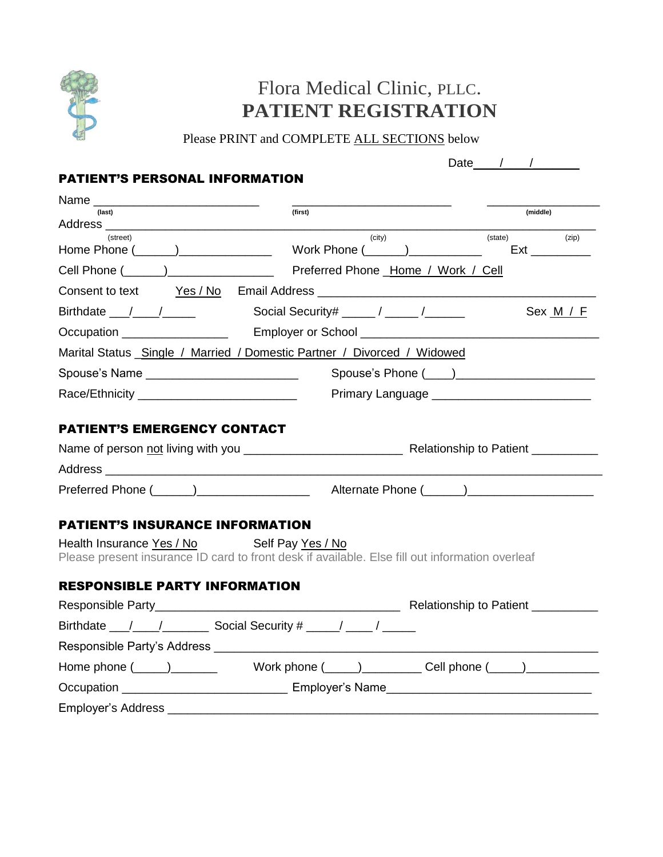

## Flora Medical Clinic, PLLC. **PATIENT REGISTRATION**

Please PRINT and COMPLETE ALL SECTIONS below

|                                                                                                                                                                                                                                |                    | Date $\sqrt{1 - (1 - 1)^2}$ |
|--------------------------------------------------------------------------------------------------------------------------------------------------------------------------------------------------------------------------------|--------------------|-----------------------------|
| <b>PATIENT'S PERSONAL INFORMATION</b>                                                                                                                                                                                          |                    |                             |
|                                                                                                                                                                                                                                |                    |                             |
| (last)                                                                                                                                                                                                                         | (first)            | (middle)                    |
| (street)                                                                                                                                                                                                                       | (city)             | (state)<br>(zip)            |
|                                                                                                                                                                                                                                |                    |                             |
| Consent to text Yes / No Email Address Learn Consent to text and the Yes / No Email Address Learn Consent of the Consent of the Consent of the Consent of the Consent of the Consent of the Consent of the Consent of the Cons |                    |                             |
|                                                                                                                                                                                                                                |                    | Sex M / F                   |
|                                                                                                                                                                                                                                |                    |                             |
| Marital Status _Single / Married / Domestic Partner / Divorced / Widowed                                                                                                                                                       |                    |                             |
| Spouse's Name                                                                                                                                                                                                                  | Spouse's Phone ( ) |                             |
| Race/Ethnicity _________________________________                                                                                                                                                                               |                    |                             |
|                                                                                                                                                                                                                                |                    |                             |
| <b>PATIENT'S EMERGENCY CONTACT</b>                                                                                                                                                                                             |                    |                             |
|                                                                                                                                                                                                                                |                    |                             |
|                                                                                                                                                                                                                                |                    |                             |
|                                                                                                                                                                                                                                |                    |                             |
|                                                                                                                                                                                                                                |                    |                             |
| <b>PATIENT'S INSURANCE INFORMATION</b>                                                                                                                                                                                         |                    |                             |
| Health Insurance Yes / No Self Pay Yes / No<br>Please present insurance ID card to front desk if available. Else fill out information overleaf                                                                                 |                    |                             |
|                                                                                                                                                                                                                                |                    |                             |
| <b>RESPONSIBLE PARTY INFORMATION</b>                                                                                                                                                                                           |                    |                             |
|                                                                                                                                                                                                                                |                    |                             |
|                                                                                                                                                                                                                                |                    |                             |
|                                                                                                                                                                                                                                |                    |                             |
|                                                                                                                                                                                                                                |                    |                             |
|                                                                                                                                                                                                                                |                    |                             |

Employer's Address \_\_\_\_\_\_\_\_\_\_\_\_\_\_\_\_\_\_\_\_\_\_\_\_\_\_\_\_\_\_\_\_\_\_\_\_\_\_\_\_\_\_\_\_\_\_\_\_\_\_\_\_\_\_\_\_\_\_\_\_\_\_\_\_\_